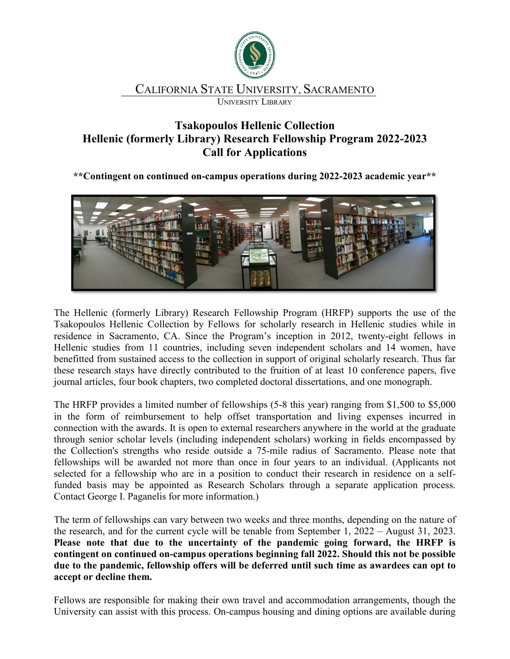

## CALIFORNIA STATE UNIVERSITY, SACRAMENTO

UNIVERSITY LIBRARY

## **Tsakopoulos Hellenic Collection Hellenic (formerly Library) Research Fellowship Program 2022-2023 Call for Applications**

**\*\*Contingent on continued on-campus operations during 2022-2023 academic year\*\***



The Hellenic (formerly Library) Research Fellowship Program (HRFP) supports the use of the Tsakopoulos Hellenic Collection by Fellows for scholarly research in Hellenic studies while in residence in Sacramento, CA. Since the Program's inception in 2012, twenty-eight fellows in Hellenic studies from 11 countries, including seven independent scholars and 14 women, have benefitted from sustained access to the collection in support of original scholarly research. Thus far these research stays have directly contributed to the fruition of at least 10 conference papers, five journal articles, four book chapters, two completed doctoral dissertations, and one monograph.

The HRFP provides a limited number of fellowships (5-8 this year) ranging from \$1,500 to \$5,000 in the form of reimbursement to help offset transportation and living expenses incurred in connection with the awards. It is open to external researchers anywhere in the world at the graduate through senior scholar levels (including independent scholars) working in fields encompassed by the Collection's strengths who reside outside a 75-mile radius of Sacramento. Please note that fellowships will be awarded not more than once in four years to an individual. (Applicants not selected for a fellowship who are in a position to conduct their research in residence on a selffunded basis may be appointed as Research Scholars through a separate application process. Contact George I. Paganelis for more information.)

The term of fellowships can vary between two weeks and three months, depending on the nature of the research, and for the current cycle will be tenable from September 1, 2022 – August 31, 2023. **Please note that due to the uncertainty of the pandemic going forward, the HRFP is contingent on continued on-campus operations beginning fall 2022. Should this not be possible due to the pandemic, fellowship offers will be deferred until such time as awardees can opt to accept or decline them.**

Fellows are responsible for making their own travel and accommodation arrangements, though the University can assist with this process. On-campus housing and dining options are available during